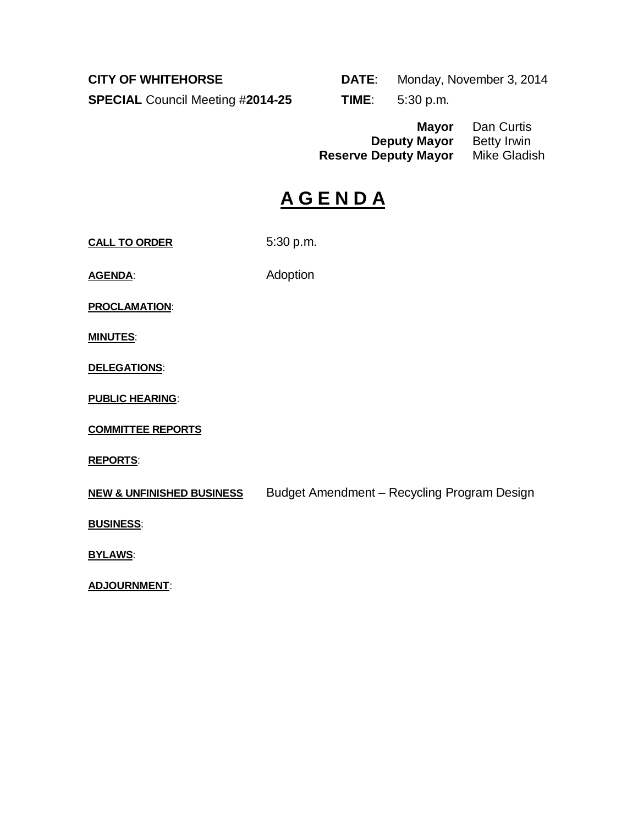**SPECIAL** Council Meeting #**2014-25 TIME**: 5:30 p.m.

**CITY OF WHITEHORSE DATE**: Monday, November 3, 2014

**Mayor** Dan Curtis<br>**Mayor** Betty Irwin **Deputy Mayor** Betty Irwin<br>**Deputy Mayor** Mike Gladish **Reserve Deputy Mayor** 

# **A G E N D A**

**CALL TO ORDER** 5:30 p.m.

AGENDA: Adoption

**PROCLAMATION**:

**MINUTES**:

**DELEGATIONS**:

**PUBLIC HEARING**:

**COMMITTEE REPORTS**

**REPORTS**:

**NEW & UNFINISHED BUSINESS** Budget Amendment – Recycling Program Design

**BUSINESS**:

**BYLAWS**:

**ADJOURNMENT**: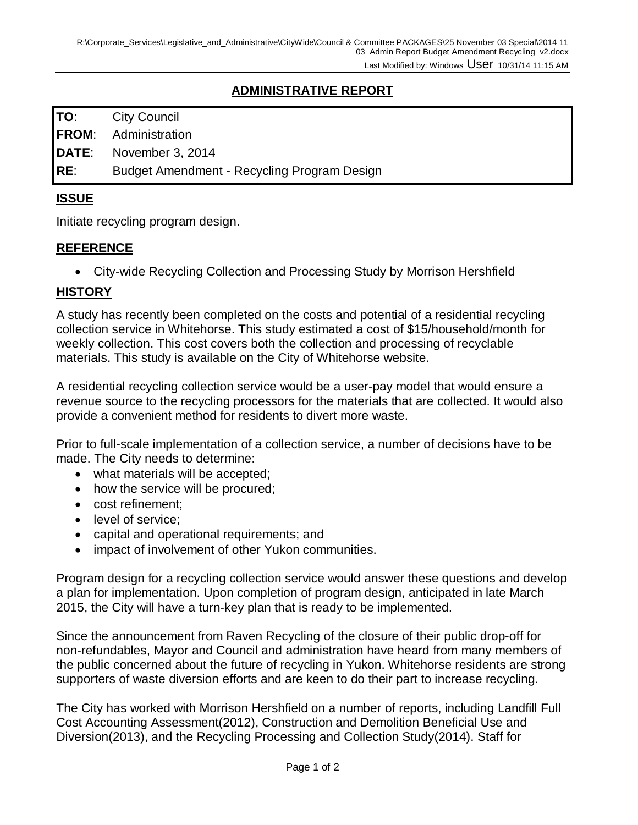# **ADMINISTRATIVE REPORT**

**TO**: City Council

**FROM**: Administration

**DATE**: November 3, 2014

**RE**: Budget Amendment - Recycling Program Design

#### **ISSUE**

Initiate recycling program design.

#### **REFERENCE**

• City-wide Recycling Collection and Processing Study by Morrison Hershfield

#### **HISTORY**

A study has recently been completed on the costs and potential of a residential recycling collection service in Whitehorse. This study estimated a cost of \$15/household/month for weekly collection. This cost covers both the collection and processing of recyclable materials. This study is available on the City of Whitehorse website.

A residential recycling collection service would be a user-pay model that would ensure a revenue source to the recycling processors for the materials that are collected. It would also provide a convenient method for residents to divert more waste.

Prior to full-scale implementation of a collection service, a number of decisions have to be made. The City needs to determine:

- what materials will be accepted;
- how the service will be procured;
- cost refinement;
- level of service:
- capital and operational requirements; and
- impact of involvement of other Yukon communities.

Program design for a recycling collection service would answer these questions and develop a plan for implementation. Upon completion of program design, anticipated in late March 2015, the City will have a turn-key plan that is ready to be implemented.

Since the announcement from Raven Recycling of the closure of their public drop-off for non-refundables, Mayor and Council and administration have heard from many members of the public concerned about the future of recycling in Yukon. Whitehorse residents are strong supporters of waste diversion efforts and are keen to do their part to increase recycling.

The City has worked with Morrison Hershfield on a number of reports, including Landfill Full Cost Accounting Assessment(2012), Construction and Demolition Beneficial Use and Diversion(2013), and the Recycling Processing and Collection Study(2014). Staff for